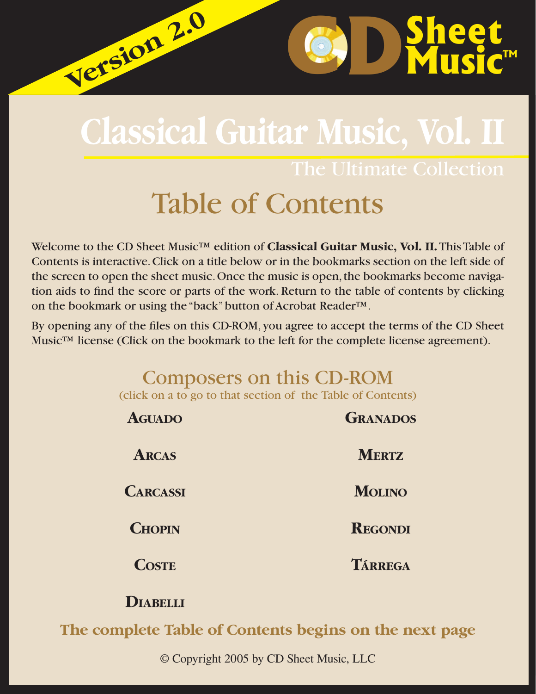# **Classical Guitar Music, Vol. II**

The Ultimate Collection

**C** 

# Table of Contents

Welcome to the CD Sheet Music™ edition of **Classical Guitar Music, Vol. II.** This Table of Contents is interactive. Click on a title below or in the bookmarks section on the left side of the screen to open the sheet music. Once the music is open, the bookmarks become navigation aids to find the score or parts of the work. Return to the table of contents by clicking on the bookmark or using the "back" button of Acrobat Reader™.

By opening any of the files on this CD-ROM, you agree to accept the terms of the CD Sheet Music™ license (Click on the bookmark to the left for the complete license agreement).

# Composers on this CD-ROM (click on a to go to that section of the Table of Contents)

| <b>AGUADO</b>   | <b>GRANADOS</b> |
|-----------------|-----------------|
| <b>ARCAS</b>    | <b>MERTZ</b>    |
| <b>CARCASSI</b> | <b>MOLINO</b>   |
| <b>CHOPIN</b>   | <b>REGONDI</b>  |
| <b>COSTE</b>    | TÁRREGA         |
|                 |                 |

# **DIABELLI**

**Version 2.0 Version 2.0**

**The complete Table of Contents begins on the next page**

© Copyright 2005 by CD Sheet Music, LLC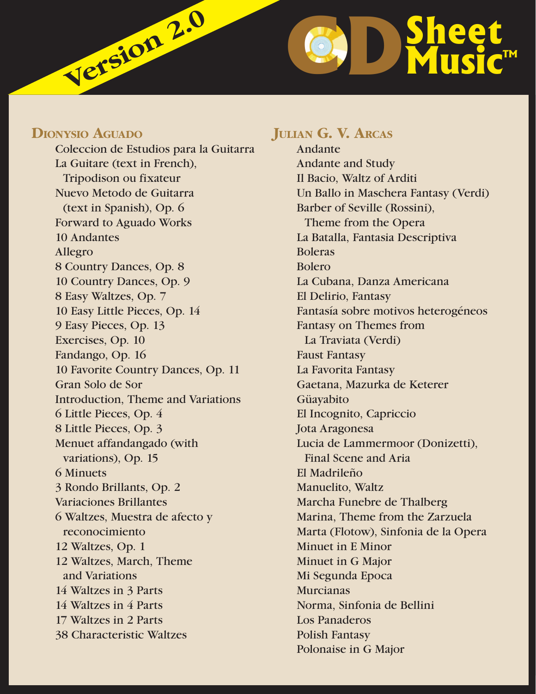# **C Version 2.0**

## **DIONYSIO AGUADO**

 Coleccion de Estudios para la Guitarra La Guitare (text in French), Tripodison ou fixateur Nuevo Metodo de Guitarra (text in Spanish), Op. 6 Forward to Aguado Works 10 Andantes Allegro 8 Country Dances, Op. 8 10 Country Dances, Op. 9 8 Easy Waltzes, Op. 7 10 Easy Little Pieces, Op. 14 9 Easy Pieces, Op. 13 Exercises, Op. 10 Fandango, Op. 16 10 Favorite Country Dances, Op. 11 Gran Solo de Sor Introduction, Theme and Variations 6 Little Pieces, Op. 4 8 Little Pieces, Op. 3 Menuet affandangado (with variations), Op. 15 6 Minuets 3 Rondo Brillants, Op. 2 Variaciones Brillantes 6 Waltzes, Muestra de afecto y reconocimiento 12 Waltzes, Op. 1 12 Waltzes, March, Theme and Variations 14 Waltzes in 3 Parts 14 Waltzes in 4 Parts 17 Waltzes in 2 Parts 38 Characteristic Waltzes

# **JULIAN G. V. ARCAS**

 Andante Andante and Study Il Bacio, Waltz of Arditi Un Ballo in Maschera Fantasy (Verdi) Barber of Seville (Rossini), Theme from the Opera La Batalla, Fantasia Descriptiva Boleras Bolero La Cubana, Danza Americana El Delirio, Fantasy Fantasía sobre motivos heterogéneos Fantasy on Themes from La Traviata (Verdi) Faust Fantasy La Favorita Fantasy Gaetana, Mazurka de Keterer Güayabito El Incognito, Capriccio Jota Aragonesa Lucia de Lammermoor (Donizetti), Final Scene and Aria El Madrileño Manuelito, Waltz Marcha Funebre de Thalberg Marina, Theme from the Zarzuela Marta (Flotow), Sinfonia de la Opera Minuet in E Minor Minuet in G Major Mi Segunda Epoca Murcianas Norma, Sinfonia de Bellini Los Panaderos Polish Fantasy Polonaise in G Major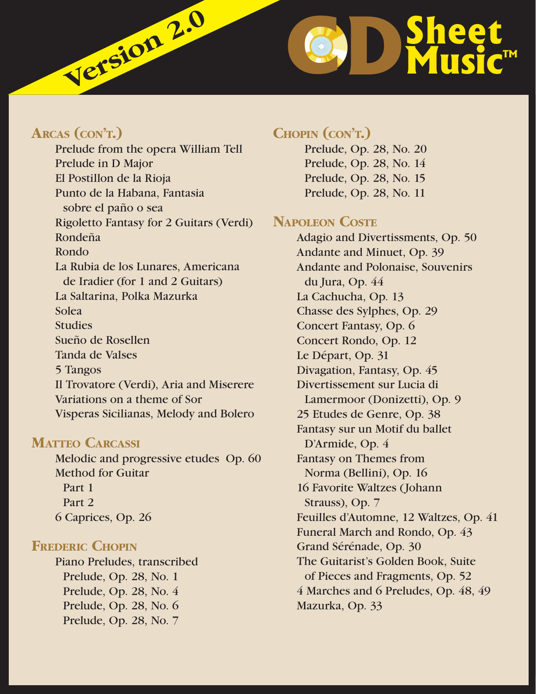

# **ARCAS (CON'T.)**

 Prelude from the opera William Tell Prelude in D Major El Postillon de la Rioja Punto de la Habana, Fantasia sobre el paño o sea Rigoletto Fantasy for 2 Guitars (Verdi) Rondeña Rondo La Rubia de los Lunares, Americana de Iradier (for 1 and 2 Guitars) La Saltarina, Polka Mazurka Solea **Studies**  Sueño de Rosellen Tanda de Valses 5 Tangos Il Trovatore (Verdi), Aria and Miserere Variations on a theme of Sor Visperas Sicilianas, Melody and Bolero

#### **MATTEO CARCASSI**

 Melodic and progressive etudes Op. 60 Method for Guitar Part 1 Part 2 6 Caprices, Op. 26

# **FREDERIC CHOPIN**

 Piano Preludes, transcribed Prelude, Op. 28, No. 1 Prelude, Op. 28, No. 4 Prelude, Op. 28, No. 6 Prelude, Op. 28, No. 7

# **CHOPIN (CON'T.)**

 Prelude, Op. 28, No. 20 Prelude, Op. 28, No. 14 Prelude, Op. 28, No. 15 Prelude, Op. 28, No. 11

## **NAPOLEON COSTE**

 Adagio and Divertissments, Op. 50 Andante and Minuet, Op. 39 Andante and Polonaise, Souvenirs du Jura, Op. 44 La Cachucha, Op. 13 Chasse des Sylphes, Op. 29 Concert Fantasy, Op. 6 Concert Rondo, Op. 12 Le Départ, Op. 31 Divagation, Fantasy, Op. 45 Divertissement sur Lucia di Lamermoor (Donizetti), Op. 9 25 Etudes de Genre, Op. 38 Fantasy sur un Motif du ballet D'Armide, Op. 4 Fantasy on Themes from Norma (Bellini), Op. 16 16 Favorite Waltzes (Johann Strauss), Op. 7 Feuilles d'Automne, 12 Waltzes, Op. 41 Funeral March and Rondo, Op. 43 Grand Sérénade, Op. 30 The Guitarist's Golden Book, Suite of Pieces and Fragments, Op. 52 4 Marches and 6 Preludes, Op. 48, 49 Mazurka, Op. 33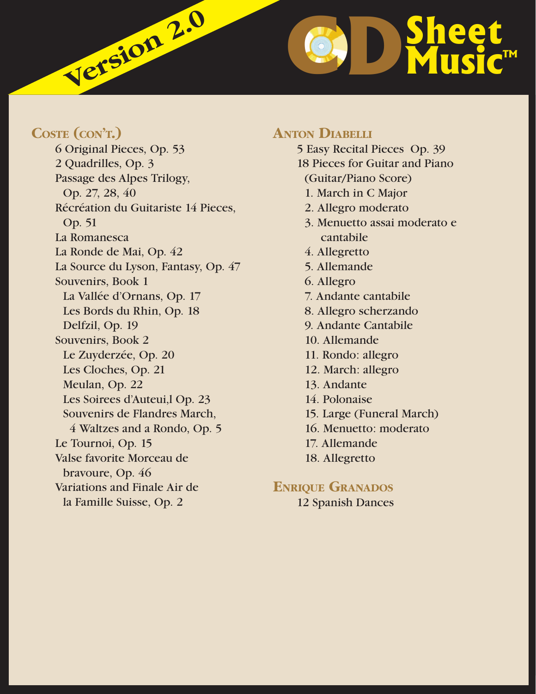**D**Sheet **Music™** 

# **COSTE (CON'T.)**

 6 Original Pieces, Op. 53 2 Quadrilles, Op. 3 Passage des Alpes Trilogy, Op. 27, 28, 40 Récréation du Guitariste 14 Pieces, Op. 51 La Romanesca La Ronde de Mai, Op. 42 La Source du Lyson, Fantasy, Op. 47 Souvenirs, Book 1 La Vallée d'Ornans, Op. 17 Les Bords du Rhin, Op. 18 Delfzil, Op. 19 Souvenirs, Book 2 Le Zuyderzée, Op. 20 Les Cloches, Op. 21 Meulan, Op. 22 Les Soirees d'Auteui,l Op. 23 Souvenirs de Flandres March, 4 Waltzes and a Rondo, Op. 5 Le Tournoi, Op. 15 Valse favorite Morceau de bravoure, Op. 46 Variations and Finale Air de la Famille Suisse, Op. 2

**Version 2.0**

# **ANTON DIABELLI**

 5 Easy Recital Pieces Op. 39 18 Pieces for Guitar and Piano (Guitar/Piano Score) 1. March in C Major 2. Allegro moderato 3. Menuetto assai moderato e cantabile 4. Allegretto 5. Allemande 6. Allegro 7. Andante cantabile 8. Allegro scherzando 9. Andante Cantabile 10. Allemande 11. Rondo: allegro 12. March: allegro 13. Andante 14. Polonaise 15. Large (Funeral March) 16. Menuetto: moderato 17. Allemande 18. Allegretto

# **ENRIQUE GRANADOS**

12 Spanish Dances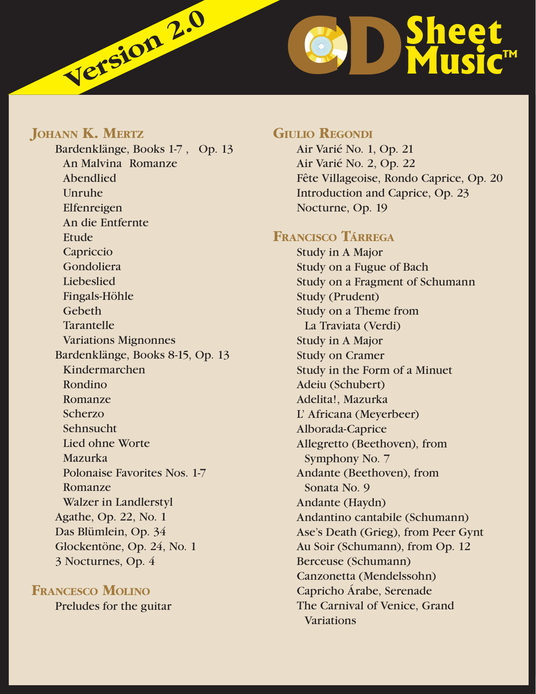

# **JOHANN K. MERTZ**

 Bardenklänge, Books 1-7 , Op. 13 An Malvina Romanze Abendlied Unruhe Elfenreigen An die Entfernte Etude Capriccio Gondoliera Liebeslied Fingals-Höhle Gebeth Tarantelle Variations Mignonnes Bardenklänge, Books 8-15, Op. 13 Kindermarchen Rondino Romanze Scherzo Sehnsucht Lied ohne Worte Mazurka Polonaise Favorites Nos. 1-7 Romanze Walzer in Landlerstyl Agathe, Op. 22, No. 1 Das Blümlein, Op. 34 Glockentöne, Op. 24, No. 1 3 Nocturnes, Op. 4

# **FRANCESCO MOLINO**

Preludes for the guitar

#### **GIULIO REGONDI**

 Air Varié No. 1, Op. 21 Air Varié No. 2, Op. 22 Fête Villageoise, Rondo Caprice, Op. 20 Introduction and Caprice, Op. 23 Nocturne, Op. 19

#### **FRANCISCO TÁRREGA**

 Study in A Major Study on a Fugue of Bach Study on a Fragment of Schumann Study (Prudent) Study on a Theme from La Traviata (Verdi) Study in A Major Study on Cramer Study in the Form of a Minuet Adeiu (Schubert) Adelita!, Mazurka L' Africana (Meyerbeer) Alborada-Caprice Allegretto (Beethoven), from Symphony No. 7 Andante (Beethoven), from Sonata No. 9 Andante (Haydn) Andantino cantabile (Schumann) Ase's Death (Grieg), from Peer Gynt Au Soir (Schumann), from Op. 12 Berceuse (Schumann) Canzonetta (Mendelssohn) Capricho Árabe, Serenade The Carnival of Venice, Grand Variations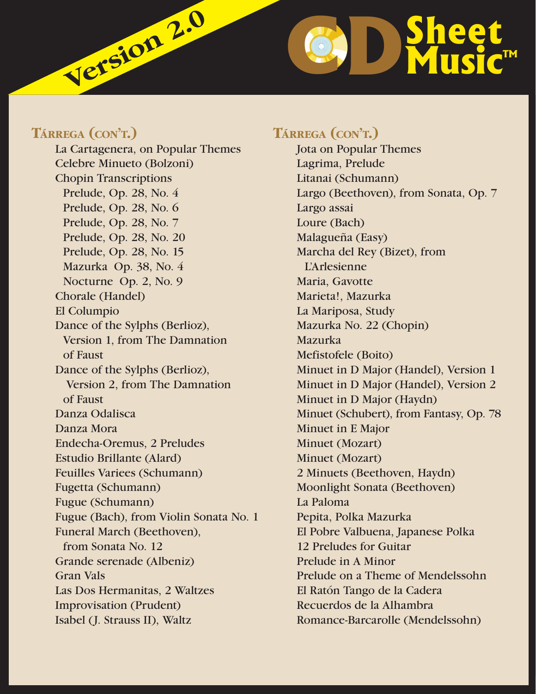

# **TÁRREGA (CON'T.)**

 La Cartagenera, on Popular Themes Celebre Minueto (Bolzoni) Chopin Transcriptions Prelude, Op. 28, No. 4 Prelude, Op. 28, No. 6 Prelude, Op. 28, No. 7 Prelude, Op. 28, No. 20 Prelude, Op. 28, No. 15 Mazurka Op. 38, No. 4 Nocturne Op. 2, No. 9 Chorale (Handel) El Columpio Dance of the Sylphs (Berlioz), Version 1, from The Damnation of Faust Dance of the Sylphs (Berlioz), Version 2, from The Damnation of Faust Danza Odalisca Danza Mora Endecha-Oremus, 2 Preludes Estudio Brillante (Alard) Feuilles Variees (Schumann) Fugetta (Schumann) Fugue (Schumann) Fugue (Bach), from Violin Sonata No. 1 Funeral March (Beethoven), from Sonata No. 12 Grande serenade (Albeniz) Gran Vals Las Dos Hermanitas, 2 Waltzes Improvisation (Prudent) Isabel (J. Strauss II), Waltz

# **TÁRREGA (CON'T.)**

 Jota on Popular Themes Lagrima, Prelude Litanai (Schumann) Largo (Beethoven), from Sonata, Op. 7 Largo assai Loure (Bach) Malagueña (Easy) Marcha del Rey (Bizet), from L'Arlesienne Maria, Gavotte Marieta!, Mazurka La Mariposa, Study Mazurka No. 22 (Chopin) Mazurka Mefistofele (Boito) Minuet in D Major (Handel), Version 1 Minuet in D Major (Handel), Version 2 Minuet in D Major (Haydn) Minuet (Schubert), from Fantasy, Op. 78 Minuet in E Major Minuet (Mozart) Minuet (Mozart) 2 Minuets (Beethoven, Haydn) Moonlight Sonata (Beethoven) La Paloma Pepita, Polka Mazurka El Pobre Valbuena, Japanese Polka 12 Preludes for Guitar Prelude in A Minor Prelude on a Theme of Mendelssohn El Ratón Tango de la Cadera Recuerdos de la Alhambra Romance-Barcarolle (Mendelssohn)